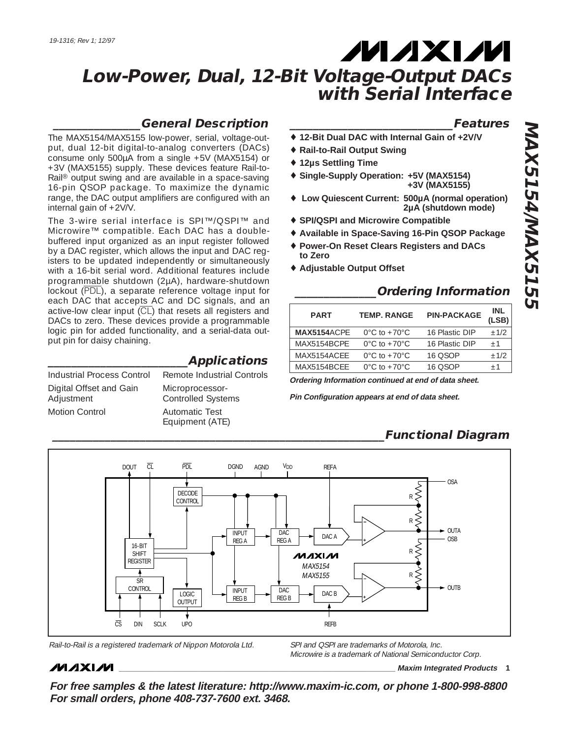# **MAXM**

### **Low-Power, Dual, 12-Bit Voltage-Output DACs with Serial Interface**

### **\_\_\_\_\_\_\_\_\_\_\_\_\_\_\_General Description**

The MAX5154/MAX5155 low-power, serial, voltage-output, dual 12-bit digital-to-analog converters (DACs) consume only 500µA from a single +5V (MAX5154) or +3V (MAX5155) supply. These devices feature Rail-to-Rail® output swing and are available in a space-saving 16-pin QSOP package. To maximize the dynamic range, the DAC output amplifiers are configured with an internal gain of +2V/V.

The 3-wire serial interface is SPI™/QSPI™ and Microwire™ compatible. Each DAC has a doublebuffered input organized as an input register followed by a DAC register, which allows the input and DAC registers to be updated independently or simultaneously with a 16-bit serial word. Additional features include programmable shutdown (2µA), hardware-shutdown lockout (PDL), a separate reference voltage input for each DAC that accepts AC and DC signals, and an active-low clear input  $\overline{CL}$  that resets all registers and DACs to zero. These devices provide a programmable logic pin for added functionality, and a serial-data output pin for daisy chaining.

| Industrial Process Control            | Remote Industrial Controls                   |
|---------------------------------------|----------------------------------------------|
| Digital Offset and Gain<br>Adjustment | Microprocessor-<br><b>Controlled Systems</b> |
| <b>Motion Control</b>                 | <b>Automatic Test</b><br>Equipment (ATE)     |

**\_\_\_\_\_\_\_\_\_\_\_\_\_\_\_\_\_\_\_\_\_\_\_\_Applications**

### **\_\_\_\_\_\_\_\_\_\_\_\_\_\_\_\_\_\_\_\_\_\_\_\_\_\_\_\_Features**

- ♦ **12-Bit Dual DAC with Internal Gain of +2V/V**
- ♦ **Rail-to-Rail Output Swing**
- ♦ **12µs Settling Time**
- ♦ **Single-Supply Operation: +5V (MAX5154) +3V (MAX5155)**
- ♦ **Low Quiescent Current: 500µA (normal operation) 2µA (shutdown mode)**
- ♦ **SPI/QSPI and Microwire Compatible**
- ♦ **Available in Space-Saving 16-Pin QSOP Package**
- ♦ **Power-On Reset Clears Registers and DACs to Zero**
- ♦ **Adjustable Output Offset**

### **\_\_\_\_\_\_\_\_\_\_\_\_\_\_Ordering Information**

| <b>PART</b> | <b>TEMP. RANGE</b>                 | <b>PIN-PACKAGE</b> | <b>INL</b><br>(LSB) |
|-------------|------------------------------------|--------------------|---------------------|
| MAX5154ACPF | $0^{\circ}$ C to +70 $^{\circ}$ C  | 16 Plastic DIP     | $+1/2$              |
| MAX5154BCPF | $0^{\circ}$ C to +70 $^{\circ}$ C. | 16 Plastic DIP     | $+1$                |
| MAX5154ACFF | $0^{\circ}$ C to +70 $^{\circ}$ C  | 16 OSOP            | $+1/2$              |
| MAX5154BCFF | $0^{\circ}$ C to +70 $^{\circ}$ C  | $16$ OSOP          | $+1$                |

**Ordering Information continued at end of data sheet.**

**Pin Configuration appears at end of data sheet.**

### **\_\_\_\_\_\_\_\_\_\_\_\_\_\_\_\_\_\_\_\_\_\_\_\_\_\_\_\_\_\_\_\_\_\_\_\_\_\_\_\_\_\_\_\_\_\_\_\_\_\_\_\_\_\_\_\_\_Functional Diagram**





Microwire is a trademark of National Semiconductor Corp.

### **MAXM**

**\_\_\_\_\_\_\_\_\_\_\_\_\_\_\_\_\_\_\_\_\_\_\_\_\_\_\_\_\_\_\_\_\_\_\_\_\_\_\_\_\_\_\_\_\_\_\_\_\_\_\_\_\_\_\_\_\_\_\_\_\_\_\_\_ Maxim Integrated Products 1**

**For free samples & the latest literature: http://www.maxim-ic.com, or phone 1-800-998-8800 For small orders, phone 408-737-7600 ext. 3468.**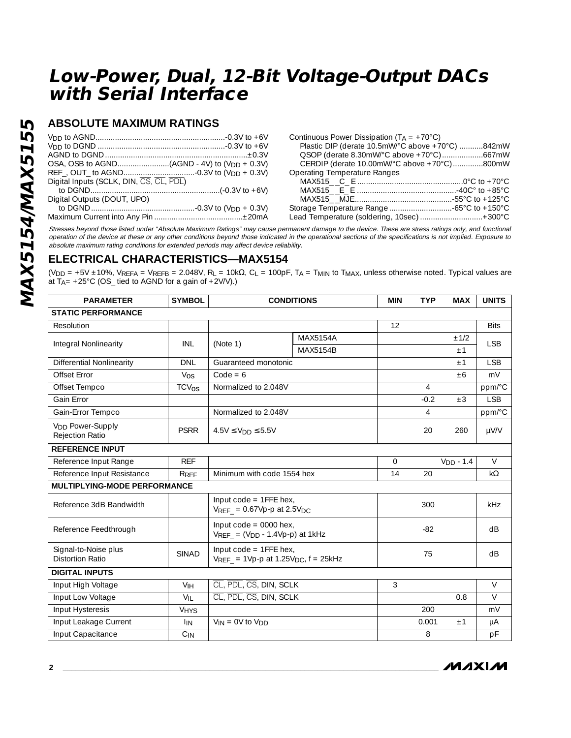### **ABSOLUTE MAXIMUM RATINGS**

| Continuous P  |
|---------------|
| Plastic DIP   |
| QSOP (der     |
| CERDIP (c     |
| Operating Ter |
| MAX515        |
| MAX515        |
| MAX515        |
| Storage Temp  |
| Lead Temper   |
|               |

| Continuous Power Dissipation ( $T_A = +70^{\circ}$ C) |  |
|-------------------------------------------------------|--|
| Plastic DIP (derate 10.5mW/°C above +70°C) 842mW      |  |
|                                                       |  |
| CERDIP (derate 10.00mW/°C above +70°C)800mW           |  |
| Operating Temperature Ranges                          |  |
|                                                       |  |
|                                                       |  |
|                                                       |  |
|                                                       |  |
| Lead Temperature (soldering, 10sec)  + 300°C          |  |
|                                                       |  |

Stresses beyond those listed under "Absolute Maximum Ratings" may cause permanent damage to the device. These are stress ratings only, and functional operation of the device at these or any other conditions beyond those indicated in the operational sections of the specifications is not implied. Exposure to absolute maximum rating conditions for extended periods may affect device reliability.

### **ELECTRICAL CHARACTERISTICS—MAX5154**

(V<sub>DD</sub> = +5V ±10%, VREFA = VREFB = 2.048V, R<sub>L</sub> = 10kΩ, C<sub>L</sub> = 100pF, T<sub>A</sub> = T<sub>MIN</sub> to T<sub>MAX</sub>, unless otherwise noted. Typical values are at  $T_{A}$ = +25°C (OS\_tied to AGND for a gain of +2V/V).)

| <b>PARAMETER</b>                                      | <b>SYMBOL</b>   | <b>CONDITIONS</b>                                                                | <b>MIN</b>                                                         | <b>TYP</b>   | <b>MAX</b>     | <b>UNITS</b> |             |
|-------------------------------------------------------|-----------------|----------------------------------------------------------------------------------|--------------------------------------------------------------------|--------------|----------------|--------------|-------------|
| <b>STATIC PERFORMANCE</b>                             |                 |                                                                                  |                                                                    |              |                |              |             |
| Resolution                                            |                 |                                                                                  |                                                                    | 12           |                |              | <b>Bits</b> |
| Integral Nonlinearity                                 | INL             | (Note 1)                                                                         | <b>MAX5154A</b>                                                    |              |                | ±1/2         | <b>LSB</b>  |
|                                                       |                 |                                                                                  | MAX5154B                                                           |              |                | $+1$         |             |
| <b>Differential Nonlinearity</b>                      | <b>DNL</b>      | Guaranteed monotonic                                                             |                                                                    |              |                | ±1           | <b>LSB</b>  |
| Offset Error                                          | $V_{OS}$        | $Code = 6$                                                                       |                                                                    |              |                | ±6           | mV          |
| Offset Tempco                                         | TCVos           | Normalized to 2.048V                                                             |                                                                    |              | 4              |              | ppm/°C      |
| Gain Error                                            |                 |                                                                                  |                                                                    |              | $-0.2$         | $\pm 3$      | <b>LSB</b>  |
| Gain-Error Tempco                                     |                 | Normalized to 2.048V                                                             |                                                                    |              | $\overline{4}$ |              | ppm/°C      |
| <b>V<sub>DD</sub></b> Power-Supply<br>Rejection Ratio | <b>PSRR</b>     | $4.5V \le V_{DD} \le 5.5V$                                                       |                                                                    |              | 20             | 260          | $\mu$ V/V   |
| <b>REFERENCE INPUT</b>                                |                 |                                                                                  |                                                                    |              |                |              |             |
| Reference Input Range                                 | <b>REF</b>      |                                                                                  |                                                                    | $\mathbf{O}$ |                | $VDD - 1.4$  | $\vee$      |
| Reference Input Resistance                            | RRFF            | Minimum with code 1554 hex                                                       |                                                                    | 14           | 20             |              | $k\Omega$   |
| <b>MULTIPLYING-MODE PERFORMANCE</b>                   |                 |                                                                                  |                                                                    |              |                |              |             |
| Reference 3dB Bandwidth                               |                 | Input $code = 1$ FFE hex,<br>$V_{REF}$ = 0.67Vp-p at 2.5V <sub>DC</sub>          |                                                                    |              | 300            |              | kHz         |
| Reference Feedthrough                                 |                 |                                                                                  | Input $code = 0000$ hex,<br>$V_{REF} = (V_{DD} - 1.4Vp-p)$ at 1kHz |              | $-82$          |              | dB          |
| Signal-to-Noise plus<br><b>Distortion Ratio</b>       | <b>SINAD</b>    | Input code = 1FFE hex,<br>$V_{REF}$ = 1Vp-p at 1.25V <sub>DC</sub> , $f = 25kHz$ |                                                                    |              | 75             |              | dB          |
| <b>DIGITAL INPUTS</b>                                 |                 |                                                                                  |                                                                    |              |                |              |             |
| Input High Voltage                                    | V <sub>IH</sub> | CL, PDL, CS, DIN, SCLK                                                           |                                                                    | 3            |                |              | $\vee$      |
| Input Low Voltage                                     | $V_{IL}$        | CL, PDL, CS, DIN, SCLK                                                           |                                                                    |              |                | 0.8          | $\vee$      |
| Input Hysteresis                                      | <b>VHYS</b>     |                                                                                  |                                                                    |              | 200            |              | mV          |
| Input Leakage Current                                 | <sup>I</sup> IN | $V_{IN} = 0V$ to $V_{DD}$                                                        |                                                                    |              | 0.001          | ±1           | μA          |
| Input Capacitance                                     | $C_{IN}$        |                                                                                  |                                                                    |              | 8              |              | pF          |

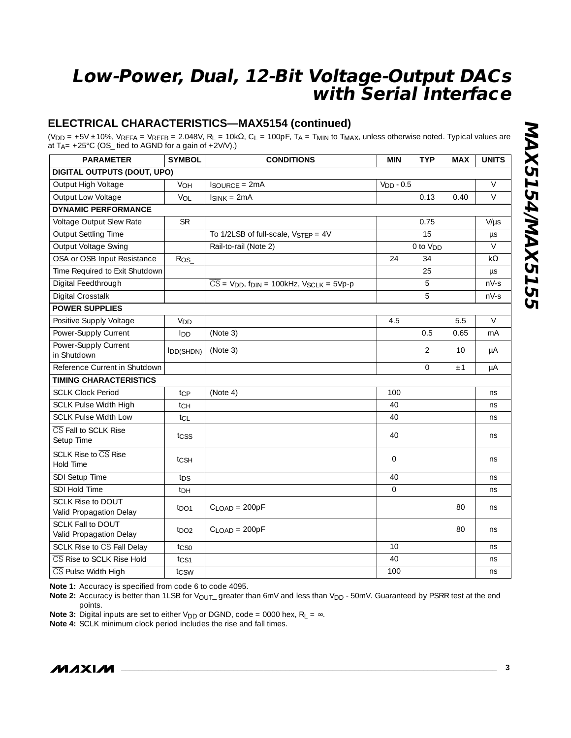### **ELECTRICAL CHARACTERISTICS—MAX5154 (continued)**

(VDD = +5V ±10%, VREFA = VREFB = 2.048V, RL = 10kΩ, CL = 100pF, TA = TMIN to TMAX, unless otherwise noted. Typical values are at  $T_A$ = +25°C (OS\_ tied to AGND for a gain of +2V/V).)

| <b>PARAMETER</b>                                    | <b>SYMBOL</b>    | <b>CONDITIONS</b>                                                                        | <b>MIN</b>     | <b>TYP</b>           | <b>MAX</b> | <b>UNITS</b> |  |  |
|-----------------------------------------------------|------------------|------------------------------------------------------------------------------------------|----------------|----------------------|------------|--------------|--|--|
| DIGITAL OUTPUTS (DOUT, UPO)                         |                  |                                                                                          |                |                      |            |              |  |  |
| Output High Voltage                                 | VOH              | <b>ISOURCE = 2mA</b>                                                                     | $VDD - 0.5$    |                      |            | $\vee$       |  |  |
| Output Low Voltage                                  | VOL              | $I_{SINK} = 2mA$                                                                         |                | 0.13                 | 0.40       | $\vee$       |  |  |
| <b>DYNAMIC PERFORMANCE</b>                          |                  |                                                                                          |                |                      |            |              |  |  |
| Voltage Output Slew Rate                            | <b>SR</b>        |                                                                                          |                | 0.75                 |            | $V/\mu s$    |  |  |
| <b>Output Settling Time</b>                         |                  | To 1/2LSB of full-scale, V <sub>STFP</sub> = 4V                                          |                | 15                   |            | $\mu s$      |  |  |
| <b>Output Voltage Swing</b>                         |                  | Rail-to-rail (Note 2)                                                                    |                | 0 to V <sub>DD</sub> |            | $\vee$       |  |  |
| OSA or OSB Input Resistance                         | Ros              |                                                                                          | 24             | 34                   |            | $k\Omega$    |  |  |
| Time Required to Exit Shutdown                      |                  |                                                                                          |                | 25                   |            | $\mu s$      |  |  |
| Digital Feedthrough                                 |                  | $\overline{CS}$ = V <sub>DD</sub> , f <sub>DIN</sub> = 100kHz, V <sub>SCLK</sub> = 5Vp-p |                | 5                    |            | $nV-S$       |  |  |
| Digital Crosstalk                                   |                  |                                                                                          |                | 5                    |            | $nV-S$       |  |  |
| <b>POWER SUPPLIES</b>                               |                  |                                                                                          |                |                      |            |              |  |  |
| Positive Supply Voltage                             | V <sub>DD</sub>  |                                                                                          | 4.5            |                      | 5.5        | $\vee$       |  |  |
| Power-Supply Current                                | I <sub>DD</sub>  | (Note 3)                                                                                 |                | 0.5                  | 0.65       | mA           |  |  |
| Power-Supply Current                                | IDD(SHDN)        | (Note 3)                                                                                 |                | $\overline{2}$       | 10         | μA           |  |  |
| in Shutdown                                         |                  |                                                                                          |                |                      |            |              |  |  |
| Reference Current in Shutdown                       |                  |                                                                                          |                | $\Omega$             | ±1         | μA           |  |  |
| <b>TIMING CHARACTERISTICS</b>                       |                  |                                                                                          |                |                      |            |              |  |  |
| <b>SCLK Clock Period</b>                            | tcp              | (Note 4)                                                                                 | 100            |                      |            | ns           |  |  |
| <b>SCLK Pulse Width High</b>                        | tch              |                                                                                          | 40             |                      |            | ns           |  |  |
| <b>SCLK Pulse Width Low</b>                         | tcL              |                                                                                          | 40             |                      |            | ns           |  |  |
| CS Fall to SCLK Rise<br>Setup Time                  | tcss             |                                                                                          | 40             |                      |            | ns           |  |  |
| SCLK Rise to CS Rise<br><b>Hold Time</b>            | tcsh             |                                                                                          | $\overline{0}$ |                      |            | ns           |  |  |
| SDI Setup Time                                      | t <sub>DS</sub>  |                                                                                          | 40             |                      |            | ns           |  |  |
| SDI Hold Time                                       | t <sub>DH</sub>  |                                                                                          | $\overline{0}$ |                      |            | ns           |  |  |
| <b>SCLK Rise to DOUT</b><br>Valid Propagation Delay | t <sub>DO1</sub> | $C$ <sub>LOAD</sub> = 200pF                                                              |                |                      | 80         | ns           |  |  |
| <b>SCLK Fall to DOUT</b><br>Valid Propagation Delay | t <sub>DO2</sub> | $C$ <sub>LOAD</sub> = 200pF                                                              |                |                      | 80         | ns           |  |  |
| SCLK Rise to CS Fall Delay                          | $t_{CS0}$        |                                                                                          | 10             |                      |            | ns           |  |  |
| CS Rise to SCLK Rise Hold                           | t <sub>CS1</sub> |                                                                                          | 40             |                      |            | ns           |  |  |
| CS Pulse Width High                                 | tcsw             |                                                                                          | 100            |                      |            | ns           |  |  |

**Note 1:** Accuracy is specified from code 6 to code 4095.

Note 2: Accuracy is better than 1LSB for V<sub>OUT\_</sub> greater than 6mV and less than V<sub>DD</sub> - 50mV. Guaranteed by PSRR test at the end points.

**Note 3:** Digital inputs are set to either V<sub>DD</sub> or DGND, code = 0000 hex,  $R_L = \infty$ .

**Note 4:** SCLK minimum clock period includes the rise and fall times.

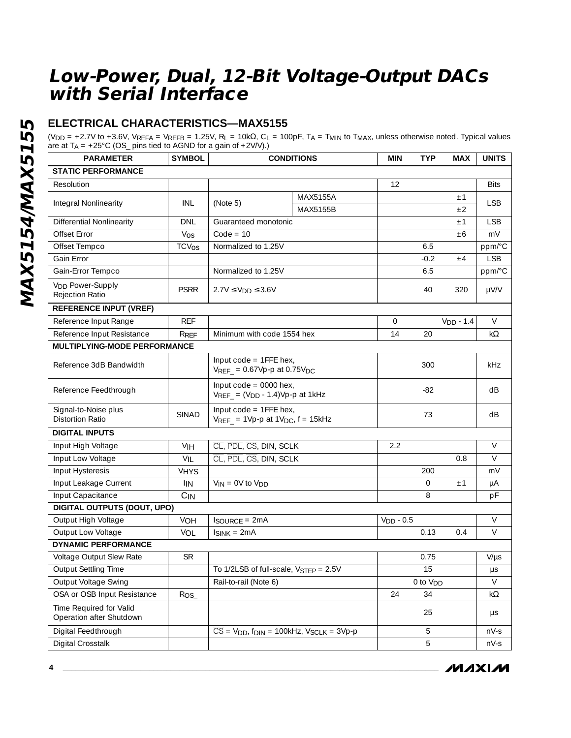### **ELECTRICAL CHARACTERISTICS—MAX5155**

(V<sub>DD</sub> = +2.7V to +3.6V, V $_{\text{REFA}}$  = V $_{\text{REFB}}$  = 1.25V,  $R_{\text{L}}$  = 10kΩ, C<sub>L</sub> = 100pF, T<sub>A</sub> = T<sub>MIN</sub> to T<sub>MAX</sub>, unless otherwise noted. Typical values are at T<sub>A</sub> = +25°C (OS\_ pins tied to AGND for a gain of +2V/V).)

| <b>PARAMETER</b>                                      | <b>SYMBOL</b>           | <b>CONDITIONS</b>                                                                        |          | <b>MIN</b>  | <b>TYP</b>           | <b>MAX</b>  | <b>UNITS</b> |
|-------------------------------------------------------|-------------------------|------------------------------------------------------------------------------------------|----------|-------------|----------------------|-------------|--------------|
| <b>STATIC PERFORMANCE</b>                             |                         |                                                                                          |          |             |                      |             |              |
| Resolution                                            |                         |                                                                                          |          | 12          |                      |             | <b>Bits</b>  |
|                                                       |                         |                                                                                          | MAX5155A |             |                      | ±1          |              |
| Integral Nonlinearity                                 | INL                     | (Note 5)                                                                                 | MAX5155B |             |                      | ±2          | <b>LSB</b>   |
| <b>Differential Nonlinearity</b>                      | DNL                     | Guaranteed monotonic                                                                     |          |             |                      | ±1          | <b>LSB</b>   |
| Offset Error                                          | $V_{OS}$                | $Code = 10$                                                                              |          |             |                      | ±6          | mV           |
| Offset Tempco                                         | <b>TCV<sub>OS</sub></b> | Normalized to 1.25V                                                                      |          |             | 6.5                  |             | ppm/°C       |
| Gain Error                                            |                         |                                                                                          |          |             | $-0.2$               | ±4          | <b>LSB</b>   |
| Gain-Error Tempco                                     |                         | Normalized to 1.25V                                                                      |          |             | 6.5                  |             | ppm/°C       |
| <b>V<sub>DD</sub></b> Power-Supply<br>Rejection Ratio | <b>PSRR</b>             | $2.7V \leq V_{DD} \leq 3.6V$                                                             |          |             | 40                   | 320         | $\mu$ V/V    |
| <b>REFERENCE INPUT (VREF)</b>                         |                         |                                                                                          |          |             |                      |             |              |
| Reference Input Range                                 | <b>REF</b>              |                                                                                          |          | $\Omega$    |                      | $VDD - 1.4$ | $\vee$       |
| Reference Input Resistance                            | RREF                    | Minimum with code 1554 hex                                                               |          | 14          | 20                   |             | k $\Omega$   |
| <b>MULTIPLYING-MODE PERFORMANCE</b>                   |                         |                                                                                          |          |             |                      |             |              |
| Reference 3dB Bandwidth                               |                         | Input $code = 1$ FFE hex,<br>$V_{REF}$ = 0.67Vp-p at 0.75V <sub>DC</sub>                 |          |             | 300                  |             | kHz          |
| Reference Feedthrough                                 |                         | Input $code = 0000$ hex,<br>$V_{REF} = (V_{DD} - 1.4)Vp$ -p at 1kHz                      |          |             | $-82$                |             | dB           |
| Signal-to-Noise plus<br><b>Distortion Ratio</b>       | <b>SINAD</b>            | Input $code = 1$ FFE hex,<br>$V_{REF}$ = 1Vp-p at 1V <sub>DC</sub> , $f = 15kHz$         |          |             | 73                   |             | dB           |
| <b>DIGITAL INPUTS</b>                                 |                         |                                                                                          |          |             |                      |             |              |
| Input High Voltage                                    | VIH                     | CL, PDL, CS, DIN, SCLK                                                                   |          | 2.2         |                      |             | $\vee$       |
| Input Low Voltage                                     | VIL                     | CL, PDL, CS, DIN, SCLK                                                                   |          |             |                      | 0.8         | $\vee$       |
| Input Hysteresis                                      | <b>VHYS</b>             |                                                                                          |          |             | 200                  |             | mV           |
| Input Leakage Current                                 | <b>IIN</b>              | $V_{IN} = 0V$ to $V_{DD}$                                                                |          |             | $\mathbf{O}$         | ±1          | μA           |
| Input Capacitance                                     | $C_{IN}$                |                                                                                          |          |             | 8                    |             | pF           |
| DIGITAL OUTPUTS (DOUT, UPO)                           |                         |                                                                                          |          |             |                      |             |              |
| Output High Voltage                                   | VOH                     | <b>ISOURCE = 2mA</b>                                                                     |          | $VDD - 0.5$ |                      |             | $\vee$       |
| Output Low Voltage                                    | VOL                     | $I_{SINK} = 2mA$                                                                         |          |             | 0.13                 | 0.4         | $\vee$       |
| <b>DYNAMIC PERFORMANCE</b>                            |                         |                                                                                          |          |             |                      |             |              |
| Voltage Output Slew Rate                              | <b>SR</b>               |                                                                                          |          |             | 0.75                 |             | $V/\mu s$    |
| <b>Output Settling Time</b>                           |                         | To 1/2LSB of full-scale, V <sub>STEP</sub> = 2.5V                                        |          |             | 15                   |             | μs           |
| Output Voltage Swing                                  |                         | Rail-to-rail (Note 6)                                                                    |          |             | 0 to V <sub>DD</sub> |             | V            |
| OSA or OSB Input Resistance                           | $ROS_$                  | 24                                                                                       |          | 34          |                      | $k\Omega$   |              |
| Time Required for Valid<br>Operation after Shutdown   |                         | 25                                                                                       |          |             | μs                   |             |              |
| Digital Feedthrough                                   |                         | $\overline{CS}$ = V <sub>DD</sub> , f <sub>DIN</sub> = 100kHz, V <sub>SCLK</sub> = 3Vp-p |          |             | 5                    |             | $nV-S$       |
| Digital Crosstalk                                     |                         |                                                                                          |          |             | 5                    |             | nV-s         |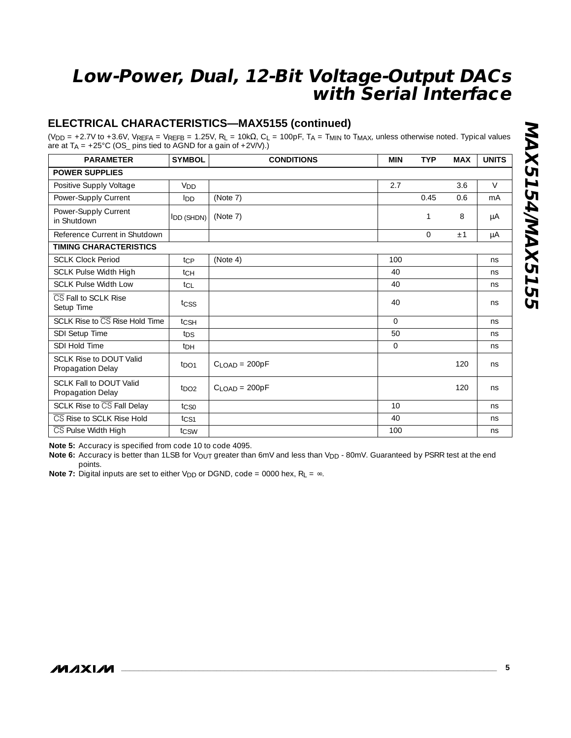### **ELECTRICAL CHARACTERISTICS—MAX5155 (continued)**

(VDD = +2.7V to +3.6V, VREFA = VREFB = 1.25V, RL = 10kΩ, CL = 100pF, TA = TMIN to TMAX, unless otherwise noted. Typical values are at  $T_A = +25^{\circ}$ C (OS\_ pins tied to AGND for a gain of  $+2V/V$ ).)

| <b>PARAMETER</b>                                    | <b>SYMBOL</b>             | <b>CONDITIONS</b>           | <b>MIN</b> | <b>TYP</b> | <b>MAX</b> | <b>UNITS</b> |  |  |
|-----------------------------------------------------|---------------------------|-----------------------------|------------|------------|------------|--------------|--|--|
| <b>POWER SUPPLIES</b>                               |                           |                             |            |            |            |              |  |  |
| Positive Supply Voltage                             | V <sub>DD</sub>           |                             | 2.7        |            | 3.6        | $\vee$       |  |  |
| Power-Supply Current                                | Inn                       | (Note 7)                    |            | 0.45       | 0.6        | mA           |  |  |
| Power-Supply Current<br>in Shutdown                 | $\vert$ DD (SHDN) $\vert$ | (Note 7)                    |            | 1          | 8          | μA           |  |  |
| Reference Current in Shutdown                       |                           |                             |            | 0          | ±1         | μA           |  |  |
| <b>TIMING CHARACTERISTICS</b>                       |                           |                             |            |            |            |              |  |  |
| <b>SCLK Clock Period</b>                            | tcp                       | (Note 4)                    | 100        |            |            | ns           |  |  |
| <b>SCLK Pulse Width High</b>                        | tсн                       |                             | 40         |            |            | ns           |  |  |
| <b>SCLK Pulse Width Low</b>                         | tcL                       |                             | 40         |            |            | ns           |  |  |
| CS Fall to SCLK Rise<br>Setup Time                  | tcss                      |                             | 40         |            |            | ns           |  |  |
| SCLK Rise to CS Rise Hold Time                      | tcsh                      |                             | $\Omega$   |            |            | ns           |  |  |
| SDI Setup Time                                      | t <sub>DS</sub>           |                             | 50         |            |            | ns           |  |  |
| SDI Hold Time                                       | t <sub>DH</sub>           |                             | $\Omega$   |            |            | ns           |  |  |
| <b>SCLK Rise to DOUT Valid</b><br>Propagation Delay | $t_{\text{DO1}}$          | $CI$ $OAD = 200pF$          |            |            | 120        | ns           |  |  |
| SCLK Fall to DOUT Valid<br>Propagation Delay        | $t_{\text{DO2}}$          | $C$ <sub>LOAD</sub> = 200pF |            |            | 120        | ns           |  |  |
| SCLK Rise to CS Fall Delay                          | tcso                      |                             | 10         |            |            | ns           |  |  |
| CS Rise to SCLK Rise Hold                           | t <sub>CS1</sub>          |                             | 40         |            |            | ns           |  |  |
| CS Pulse Width High                                 | tcsw                      |                             | 100        |            |            | ns           |  |  |

**Note 5:** Accuracy is specified from code 10 to code 4095.

Note 6: Accuracy is better than 1LSB for V<sub>OUT</sub> greater than 6mV and less than V<sub>DD</sub> - 80mV. Guaranteed by PSRR test at the end points.

**Note 7:** Digital inputs are set to either V<sub>DD</sub> or DGND, code = 0000 hex,  $R_L = \infty$ .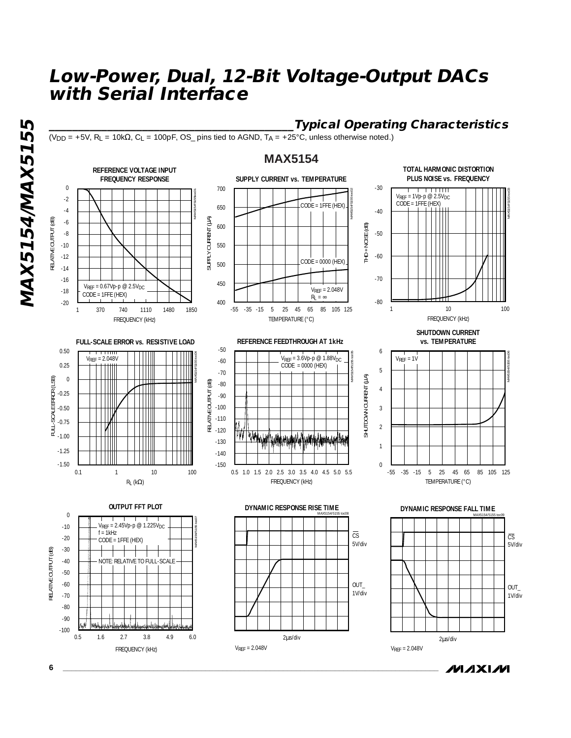$(V_{DD} = +5V$ ,  $R_L = 10k\Omega$ ,  $C_L = 100pF$ ,  $OS_p$  pins tied to AGND,  $T_A = +25°C$ , unless otherwise noted.)

### **MAX5154**

#### **TOTAL HARMONIC DISTORTION REFERENCE VOLTAGE INPUT FREQUENCY RESPONSE SUPPLY CURRENT vs. TEMPERATURE PLUS NOISE vs. FREQUENCY** 0 700 -30  $\overline{1}$  ,  $\overline{1}$  ,  $\overline{1}$  ,  $\overline{1}$  ,  $\overline{1}$  ,  $\overline{1}$  ,  $\overline{1}$  ,  $\overline{1}$ MAX5154/5155 toc02 MAX5154/5155toc01 -2 V<sub>REF</sub> = 1Vp-p @ 2.5V<sub>DC</sub><br>CODE = 1FFE (HEX) CODE = 1FFE (HEX) 650 -4 -40 SUPPLY CURRENT (µA) RELATIVE OUTPUT (dB) SUPPLY CURRENT (µA) -6 600 THD + NOISE (dB) THD + NOISE (dB) -8 -50 -10 550 -60 -12  $CODF = 0000$  (HEX) 500 -14 -70 -16 450  $V_{RFF} = 0.67Vp-p \text{ } \textcircled{2.5}V_{DC}$ VREF = 2.048V -18 CODE = 1FFE (HEX)  $R_L = \infty$ -20 400 -80 -55 -35 -15 5 25 45 65 85 105 125 1 370 740 1110 1480 1850 1 10 100 FREQUENCY (kHz) TEMPERATURE (°C) FREQUENCY (kHz) **SHUTDOWN CURRENT REFERENCE FEEDTHROUGH AT 1kHz vs. TEMPERATURE FULL-SCALE ERROR vs. RESISTIVE LOAD** -50 0.50 6 <del>. . . . . . . . .</del> MAX5154/5155 toc04 MAX5154/5155 toc05 VREF = 2.048V VREF = 1V V<sub>REF</sub> = 3.6Vp-p @ 1.88V<sub>DC</sub><br>CODE = 0000 (HEX) | -60 0.25 5 -70  $\mathfrak{F}$ SHUTDOWN CURRENT (µA) FULL-SCALE ERROR (LSB) 0 FULL-SCALE ERROR (LSB)  $\circled{e}$ RELATIVE OUTPUT (dB) -80 Ш SHUTDOWN CURRENT 4 -0.25 -90 -0.50 -100 3 -110 -0.75  $\overline{2}$ **M** -120 -1.00 W w.html/w.hha.ww.uhatrlaMwaka -130 1 -1.25 -140 -1.50 -150  $\theta$ 0.5 1.0 1.5 2.0 2.5 3.0 3.5 4.0 4.5 5.0 5.5 -55 -35 -15 5 25 45 65 85 105 125 0.1 1 10 100 RL (kΩ) FREQUENCY (kHz) TEMPERATURE (°C) **OUTPUT FFT PLOT DYNAMIC RESPONSE RISE TIME DYNAMIC RESPONSE FALL TIME**  $\theta$ MAX5154/5155 toc09 MAX5154/5155 toc07 -10  $V_{REF} = 2.45Vp-p \text{ } @ 1.225V_{DC}$  $f = 1kHz$  $\overline{\mathbb{CS}}$ -20 CODE = 1FFE (HEX) 5V/div -30  $\mathbf{I}$  $\mathbf{I}$ -1 -40 NOTE: RELATIVE TO FULL-SCALE -50



**\_\_\_\_\_\_\_\_\_\_\_\_\_\_\_\_\_\_\_\_\_\_\_\_\_\_\_\_\_\_\_\_\_\_\_\_\_\_\_\_\_\_Typical Operating Characteristics**

MAX5154/5155 toc03

MAX5154/5155 toc06

 $O[1]$ 1V/div

5V/div  $\overline{\text{CS}}$ 

**MAX5154/MAX5155** RELATIVE OUTPUT (dB)

**MAX5154/MAX5155**





2µs/div

VREF = 2.048V





**6 \_\_\_\_\_\_\_\_\_\_\_\_\_\_\_\_\_\_\_\_\_\_\_\_\_\_\_\_\_\_\_\_\_\_\_\_\_\_\_\_\_\_\_\_\_\_\_\_\_\_\_\_\_\_\_\_\_\_\_\_\_\_\_\_\_\_\_\_\_\_\_\_\_\_\_\_\_\_\_\_\_\_\_\_\_\_\_**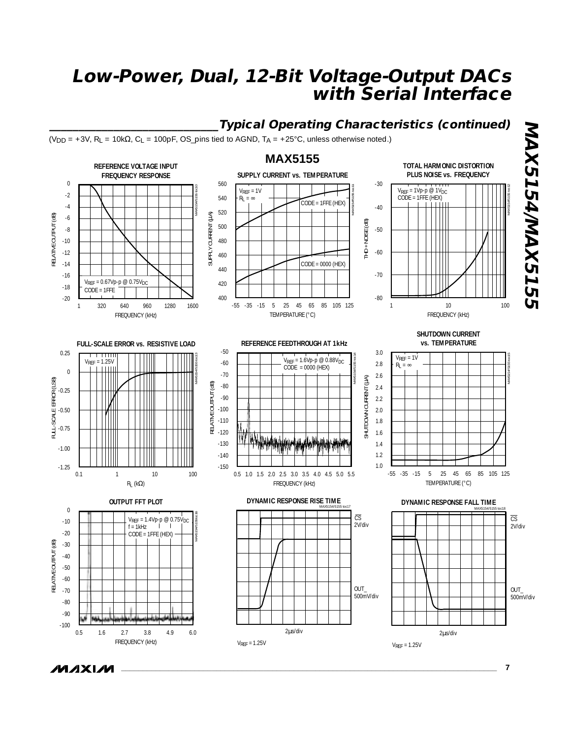#### **\_\_\_\_\_\_\_\_\_\_\_\_\_\_\_\_\_\_\_\_\_\_\_\_\_\_\_\_\_Typical Operating Characteristics (continued) MAX5154/MAX5155 MAX5154/MAX5155**  $(V_{DD} = +3V$ ,  $R_L = 10k\Omega$ ,  $C_L = 100pF$ ,  $OS_p$ ins tied to AGND,  $TA = +25°C$ , unless otherwise noted.) **MAX5155 TOTAL HARMONIC DISTORTION REFERENCE VOLTAGE INPUT SUPPLY CURRENT vs. TEMPERATURE FREQUENCY RESPONSE PLUS NOISE vs. FREQUENCY**  $\boldsymbol{0}$ 560 -30  $V_{REF} = 1Vp-p \ @ \ 1V_{DC}$ MAX5154/5155 toc10 MAX5154/5155 toc11 MAX5154/5155 toc12  $V_{REF} = 1V$ <br> $R_L = \infty$ -2 540 CODE = 1FFE (HEX)  $CODE = 1$ FFE (HEX)  $\perp$ -4 -40 520 CURRENT (MA) SUPPLY CURRENT (µA) RELATIVE OUTPUT (dB) RELATIVE OUTPUT (dB) -6 THD + NOISE (dB) THD + NOISE (dB) 500 -8 -50 -10 480 **SUPPLY** -60 -12 460 CODE = 0000 (HEX) -14 440 -70 -16  $V_{REF} = 0.67Vp-p \text{ } @ 0.75V_{DC}$ 420 -18 CODE = 1FFE 400 -80 -20 1 320 640 960 1280 1600 -55 -35 -15 5 25 45 65 85 105 125 1 10 100 TEMPERATURE (°C) FREQUENCY (kHz) FREQUENCY (kHz) **SHUTDOWN CURRENT REFERENCE FEEDTHROUGH AT 1kHz vs. TEMPERATURE FULL-SCALE ERROR vs. RESISTIVE LOAD** -50 0.25 3.0 T T T T T MAX5154/5155 toc13 MAX5154/5155 toc14  $V_{REF} = 1V$ MAX5154/5155 toc15  $V_{REF} = 1.25V$ V<sub>REF</sub> = 1.6Vp-p @ 0.88V<sub>DC</sub><br>CODE = 0000 (HEX) -60 2.8  $R_{\parallel} = \infty$ 0 -70 2.6 SHUTDOWN CURRENT (MA) SHUTDOWN CURRENT (µA) FULL-SCALE ERROR (LSB) FULL-SCALE ERROR (LSB) RELATIVE OUTPUT (dB) RELATIVE OUTPUT (dB) -80 2.4 -0.25 -90 2.2 -100 2.0 -0.50 -110 1.8 -0.75 -120 1.6 -130 1.4 -1.00 -140 1.2 1.0 -1.25 -150 0.5 1.0 1.5 2.0 2.5 3.0 3.5 4.0 4.5 5.0 5.5 -55 -35 -15 5 25 45 65 85 105 125 0.1 1 10 100 FREQUENCY (kHz) TEMPERATURE (°C)  $R_L$  (kΩ) **DYNAMIC RESPONSE RISE TIME OUTPUT FFT PLOT DYNAMIC RESPONSE FALL TIME** 0 MAX5154/5155 toc18 MAX5154/5155toc16  $\overline{\text{CS}}$  $\overline{\text{CS}}$  $V_{REF} = 1.4Vp-p \otimes 0.75V_{DC}$ <br>f – 1kHz -10 2V/div  $= 1$ kHz 2V/div -20 CODE = 1FFE (HEX) RELATIVE OUTPUT (dB) RELATIVE OUTPUT (dB) -30 -40 -50 -60 OUT\_ -70 OUT\_ 500mV/div 500mV/div -80  $-90$ -100 2µs/div 2µs/div 0.5 1.6 2.7 3.8 4.9 6.0 FREQUENCY (kHz) VREF = 1.25V  $V_{RFF} = 1.25V$

*MAXM*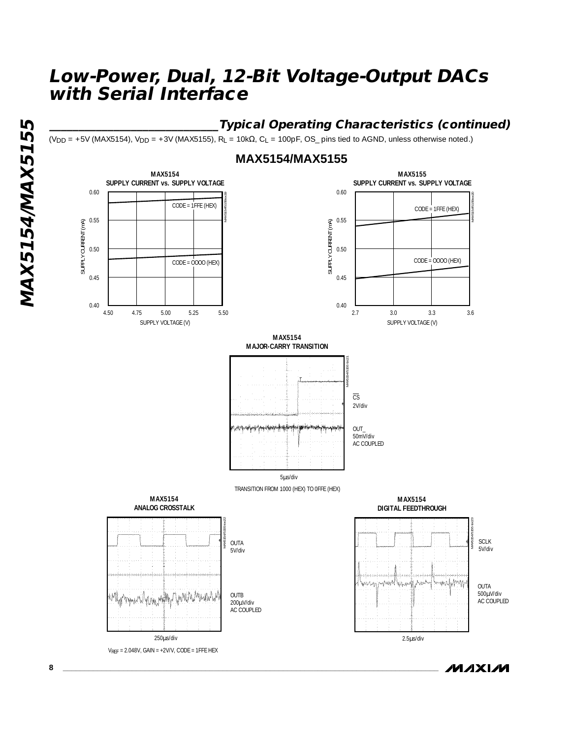### **\_\_\_\_\_\_\_\_\_\_\_\_\_\_\_\_\_\_\_\_\_\_\_\_\_\_\_\_\_Typical Operating Characteristics (continued)**

 $(V_{DD} = +5V$  (MAX5154),  $V_{DD} = +3V$  (MAX5155), R<sub>L</sub> = 10k $\Omega$ , C<sub>L</sub> = 100pF, OS\_ pins tied to AGND, unless otherwise noted.)

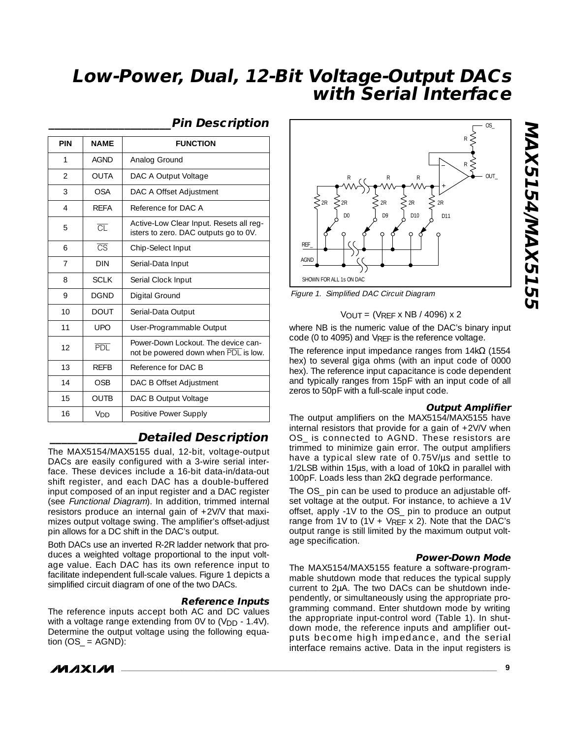REF\_ AGND

| PIN                      | <b>NAME</b>            | <b>FUNCTION</b>                                                                  |
|--------------------------|------------------------|----------------------------------------------------------------------------------|
| 1                        | <b>AGND</b>            | Analog Ground                                                                    |
| $\overline{\mathcal{L}}$ | <b>OUTA</b>            | DAC A Output Voltage                                                             |
| 3                        | <b>OSA</b>             | DAC A Offset Adjustment                                                          |
| $\overline{4}$           | <b>RFFA</b>            | Reference for DAC A                                                              |
| 5                        | $\overline{\text{CL}}$ | Active-Low Clear Input. Resets all reg-<br>isters to zero. DAC outputs go to 0V. |
| 6                        | $\overline{\text{CS}}$ | Chip-Select Input                                                                |
| $\overline{7}$           | <b>DIN</b>             | Serial-Data Input                                                                |
| 8                        | <b>SCLK</b>            | Serial Clock Input                                                               |
| 9                        | <b>DGND</b>            | Digital Ground                                                                   |
| 10                       | <b>DOUT</b>            | Serial-Data Output                                                               |
| 11                       | <b>UPO</b>             | User-Programmable Output                                                         |
| 12                       | <b>PDL</b>             | Power-Down Lockout. The device can-<br>not be powered down when PDL is low.      |
| 13                       | <b>RFFB</b>            | Reference for DAC B                                                              |
| 14                       | <b>OSB</b>             | DAC B Offset Adjustment                                                          |
| 15                       | <b>OUTB</b>            | DAC B Output Voltage                                                             |
| 16                       | V <sub>DD</sub>        | Positive Power Supply                                                            |

#### **\_\_\_\_\_\_\_\_\_\_\_\_\_\_\_\_\_\_\_\_\_Pin Description**

# SHOWN FOR ALL 1s ON DAC Figure 1. Simplified DAC Circuit Diagram

#### $V$ OUT = (VRFF x NB / 4096) x 2

D0 D9 D10 D11

2R 2R 2R 2R 2R

R *c* R R

where NB is the numeric value of the DAC's binary input code (0 to 4095) and VREF is the reference voltage.

The reference input impedance ranges from  $14k\Omega$  (1554 hex) to several giga ohms (with an input code of 0000 hex). The reference input capacitance is code dependent and typically ranges from 15pF with an input code of all zeros to 50pF with a full-scale input code.

### **Output Amplifier**

The output amplifiers on the MAX5154/MAX5155 have internal resistors that provide for a gain of +2V/V when OS\_ is connected to AGND. These resistors are trimmed to minimize gain error. The output amplifiers have a typical slew rate of 0.75V/µs and settle to 1/2LSB within 15μs, with a load of 10kΩ in parallel with 100pF. Loads less than  $2k\Omega$  degrade performance.

The OS\_ pin can be used to produce an adjustable offset voltage at the output. For instance, to achieve a 1V offset, apply -1V to the OS\_ pin to produce an output range from 1V to  $(1V + V_{REF} \times 2)$ . Note that the DAC's output range is still limited by the maximum output voltage specification.

#### **Power-Down Mode**

The MAX5154/MAX5155 feature a software-programmable shutdown mode that reduces the typical supply current to 2µA. The two DACs can be shutdown independently, or simultaneously using the appropriate programming command. Enter shutdown mode by writing the appropriate input-control word (Table 1). In shutdown mode, the reference inputs and amplifier outputs become high impedance, and the serial interface remains active. Data in the input registers is

### **\_\_\_\_\_\_\_\_\_\_\_\_\_\_\_Detailed Description**

The MAX5154/MAX5155 dual, 12-bit, voltage-output DACs are easily configured with a 3-wire serial interface. These devices include a 16-bit data-in/data-out shift register, and each DAC has a double-buffered input composed of an input register and a DAC register (see Functional Diagram). In addition, trimmed internal resistors produce an internal gain of +2V/V that maximizes output voltage swing. The amplifier's offset-adjust pin allows for a DC shift in the DAC's output.

Both DACs use an inverted R-2R ladder network that produces a weighted voltage proportional to the input voltage value. Each DAC has its own reference input to facilitate independent full-scale values. Figure 1 depicts a simplified circuit diagram of one of the two DACs.

### **Reference Inputs**

The reference inputs accept both AC and DC values with a voltage range extending from  $0V$  to  $(V_{DD} - 1.4V)$ . Determine the output voltage using the following equation  $(OS_$  = AGND):



 $OUIT$ 

OS\_

R

R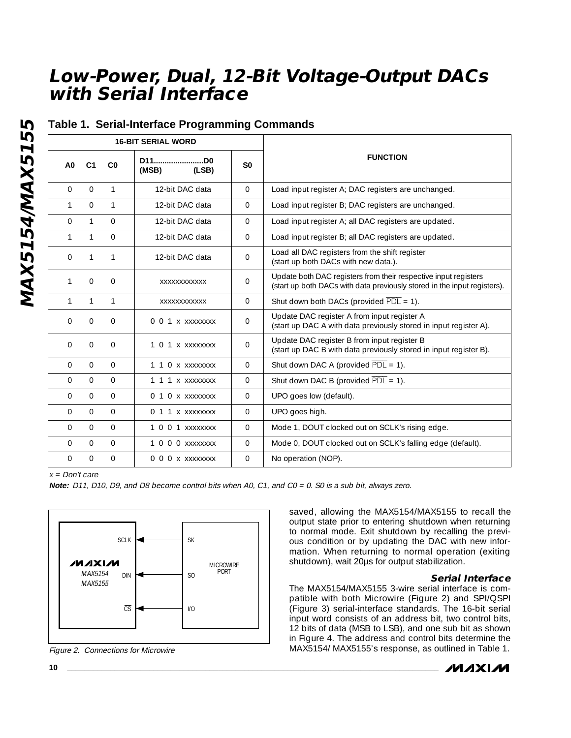|                |                |               | <b>16-BIT SERIAL WORD</b> |                |                                                                                                                                             |
|----------------|----------------|---------------|---------------------------|----------------|---------------------------------------------------------------------------------------------------------------------------------------------|
| A <sub>0</sub> | C <sub>1</sub> | $_{\rm CO}$   | D11D0<br>(MSB)<br>(LSB)   | S <sub>0</sub> | <b>FUNCTION</b>                                                                                                                             |
| $\mathbf{O}$   | $\Omega$       | $\mathbf{1}$  | 12-bit DAC data           | $\mathbf{O}$   | Load input register A; DAC registers are unchanged.                                                                                         |
| $\mathbf{1}$   | $\Omega$       | $\mathbf{1}$  | 12-bit DAC data           | $\Omega$       | Load input register B; DAC registers are unchanged.                                                                                         |
| $\Omega$       | $\mathbf{1}$   | $\Omega$      | 12-bit DAC data           | $\Omega$       | Load input register A; all DAC registers are updated.                                                                                       |
| $\mathbf{1}$   | $\mathbf{1}$   | $\mathbf 0$   | 12-bit DAC data           | $\mathbf{O}$   | Load input register B; all DAC registers are updated.                                                                                       |
| $\Omega$       | 1              | $\mathbf{1}$  | 12-bit DAC data           | $\Omega$       | Load all DAC registers from the shift register<br>(start up both DACs with new data.).                                                      |
| 1              | 0              | $\mathbf 0$   | XXXXXXXXXXXX              | 0              | Update both DAC registers from their respective input registers<br>(start up both DACs with data previously stored in the input registers). |
| $\mathbf{1}$   | $\mathbf{1}$   | $\mathbf{1}$  | XXXXXXXXXXXX              | $\mathbf{O}$   | Shut down both DACs (provided $\overline{PDL} = 1$ ).                                                                                       |
| $\Omega$       | $\Omega$       | $\Omega$      | 0 0 1 x xxxxxxxx          | $\Omega$       | Update DAC register A from input register A<br>(start up DAC A with data previously stored in input register A).                            |
| $\mathbf{O}$   | 0              | $\mathbf 0$   | 1 0 1 x xxxxxxxx          | $\overline{0}$ | Update DAC register B from input register B<br>(start up DAC B with data previously stored in input register B).                            |
| $\Omega$       | $\Omega$       | $\mathbf{0}$  | 1 1 0 x xxxxxxxx          | $\mathbf{O}$   | Shut down DAC A (provided $\overline{PDL}$ = 1).                                                                                            |
| $\Omega$       | $\Omega$       | $\mathbf{O}$  | 1 1 1 x xxxxxxxx          | $\Omega$       | Shut down DAC B (provided $\overline{PDL} = 1$ ).                                                                                           |
| $\Omega$       | $\Omega$       | $\Omega$      | $0$ 1 $0$ x $xxxxxxxx$    | $\Omega$       | UPO goes low (default).                                                                                                                     |
| $\Omega$       | $\Omega$       | $\Omega$      | 0 1 1 x xxxxxxxx          | $\Omega$       | UPO goes high.                                                                                                                              |
| $\Omega$       | $\Omega$       | $\Omega$      | $1001$ xxxxxxxx           | $\Omega$       | Mode 1, DOUT clocked out on SCLK's rising edge.                                                                                             |
| $\Omega$       | $\Omega$       | $\mathcal{O}$ | 1 0 0 0 XXXXXXX           | $\mathbf{O}$   | Mode 0, DOUT clocked out on SCLK's falling edge (default).                                                                                  |
| $\Omega$       | $\Omega$       | $\Omega$      | 0 0 0 x xxxxxxx           | $\Omega$       | No operation (NOP).                                                                                                                         |

### **Table 1. Serial-Interface Programming Commands**

 $x = Don't care$ 

**Note:** D11, D10, D9, and D8 become control bits when A0, C1, and C0 = 0. S0 is a sub bit, always zero.



Figure 2. Connections for Microwire

saved, allowing the MAX5154/MAX5155 to recall the output state prior to entering shutdown when returning to normal mode. Exit shutdown by recalling the previous condition or by updating the DAC with new information. When returning to normal operation (exiting shutdown), wait 20µs for output stabilization.

#### **Serial Interface**

The MAX5154/MAX5155 3-wire serial interface is compatible with both Microwire (Figure 2) and SPI/QSPI (Figure 3) serial-interface standards. The 16-bit serial input word consists of an address bit, two control bits, 12 bits of data (MSB to LSB), and one sub bit as shown in Figure 4. The address and control bits determine the MAX5154/ MAX5155's response, as outlined in Table 1.

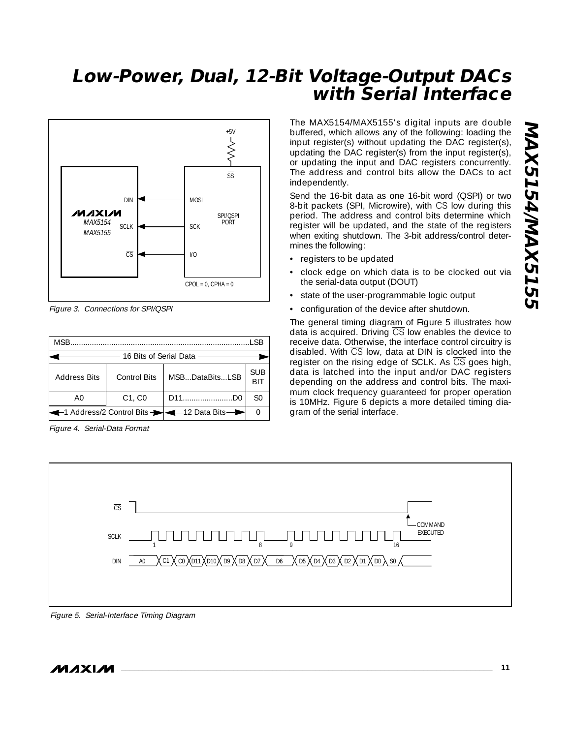

Figure 3. Connections for SPI/QSPI

| MSB.                                           |              |                |            |  |  |  |  |
|------------------------------------------------|--------------|----------------|------------|--|--|--|--|
| 16 Bits of Serial Data ————                    |              |                |            |  |  |  |  |
| <b>Address Bits</b>                            | Control Bits | MSBDataBitsLSB | <b>SUB</b> |  |  |  |  |
| AΩ                                             | $C1$ , $C0$  | D11D0          | SΩ         |  |  |  |  |
| -1 Address/2 Control Bits - - - 12 Data Bits - |              |                |            |  |  |  |  |

Figure 4. Serial-Data Format

The MAX5154/MAX5155's digital inputs are double buffered, which allows any of the following: loading the input register(s) without updating the DAC register(s), updating the DAC register(s) from the input register(s), or updating the input and DAC registers concurrently. The address and control bits allow the DACs to act independently.

Send the 16-bit data as one 16-bit word (QSPI) or two 8-bit packets (SPI, Microwire), with  $\overline{\text{CS}}$  low during this period. The address and control bits determine which register will be updated, and the state of the registers when exiting shutdown. The 3-bit address/control determines the following:

- registers to be updated
- clock edge on which data is to be clocked out via the serial-data output (DOUT)
- state of the user-programmable logic output
- configuration of the device after shutdown.

The general timing diagram of Figure 5 illustrates how data is acquired. Driving  $\overline{CS}$  low enables the device to receive data. Otherwise, the interface control circuitry is disabled. With  $\overline{\text{CS}}$  low, data at DIN is clocked into the register on the rising edge of SCLK. As CS goes high, data is latched into the input and/or DAC registers depending on the address and control bits. The maximum clock frequency guaranteed for proper operation is 10MHz. Figure 6 depicts a more detailed timing diagram of the serial interface.



Figure 5. Serial-Interface Timing Diagram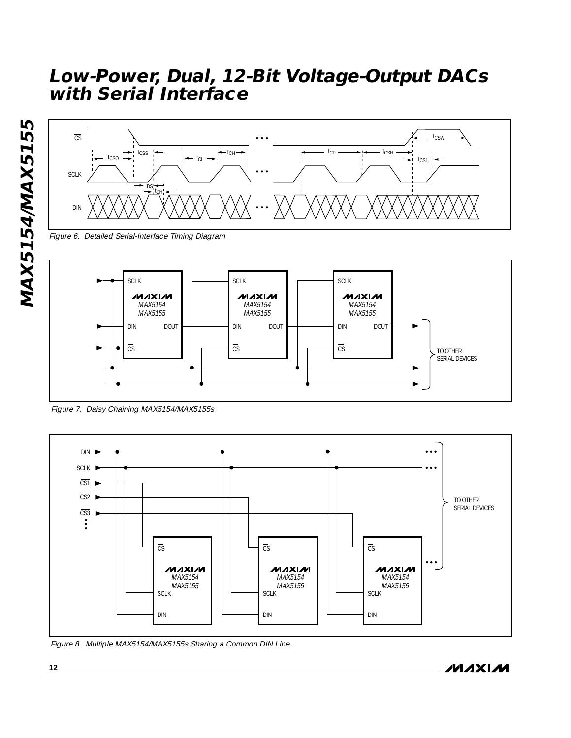

Figure 6. Detailed Serial-Interface Timing Diagram



Figure 7. Daisy Chaining MAX5154/MAX5155s



Figure 8. Multiple MAX5154/MAX5155s Sharing a Common DIN Line

**MAX5154/MAX5155**

MAX5154/MAX5155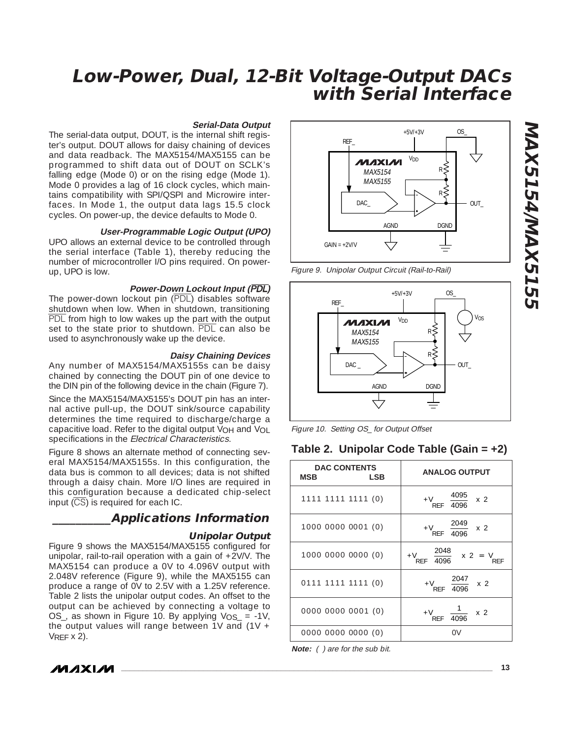### **Serial-Data Output**

The serial-data output, DOUT, is the internal shift register's output. DOUT allows for daisy chaining of devices and data readback. The MAX5154/MAX5155 can be programmed to shift data out of DOUT on SCLK's falling edge (Mode 0) or on the rising edge (Mode 1). Mode 0 provides a lag of 16 clock cycles, which maintains compatibility with SPI/QSPI and Microwire interfaces. In Mode 1, the output data lags 15.5 clock cycles. On power-up, the device defaults to Mode 0.

#### **User-Programmable Logic Output (UPO)**

UPO allows an external device to be controlled through the serial interface (Table 1), thereby reducing the number of microcontroller I/O pins required. On powerup, UPO is low.

#### **Power-Down Lockout Input (**PDL**)**

The power-down lockout pin (PDL) disables software shutdown when low. When in shutdown, transitioning PDL from high to low wakes up the part with the output set to the state prior to shutdown. PDL can also be used to asynchronously wake up the device.

#### **Daisy Chaining Devices**

Any number of MAX5154/MAX5155s can be daisy chained by connecting the DOUT pin of one device to the DIN pin of the following device in the chain (Figure 7).

Since the MAX5154/MAX5155's DOUT pin has an internal active pull-up, the DOUT sink/source capability determines the time required to discharge/charge a capacitive load. Refer to the digital output V<sub>OH</sub> and V<sub>OL</sub> specifications in the Electrical Characteristics.

Figure 8 shows an alternate method of connecting several MAX5154/MAX5155s. In this configuration, the data bus is common to all devices; data is not shifted through a daisy chain. More I/O lines are required in this configuration because a dedicated chip-select input  $(\overline{CS})$  is required for each IC.

### **\_\_\_\_\_\_\_\_\_\_Applications Information**

#### **Unipolar Output**

Figure 9 shows the MAX5154/MAX5155 configured for unipolar, rail-to-rail operation with a gain of +2V/V. The MAX5154 can produce a 0V to 4.096V output with 2.048V reference (Figure 9), while the MAX5155 can produce a range of 0V to 2.5V with a 1.25V reference. Table 2 lists the unipolar output codes. An offset to the output can be achieved by connecting a voltage to OS\_, as shown in Figure 10. By applying  $V_{OS}$  = -1V, the output values will range between  $\overline{1}V$  and  $(1V +$  $V$ REF  $\times$  2).



Figure 9. Unipolar Output Circuit (Rail-to-Rail)





### **Table 2. Unipolar Code Table (Gain = +2)**

| <b>DAC CONTENTS</b><br>MSB<br>LSB | <b>ANALOG OUTPUT</b>                                         |
|-----------------------------------|--------------------------------------------------------------|
| 1111 1111 1111 (0)                | $+V_{REF} \left(\frac{4095}{4096}\right)$ x 2                |
| 1000 0000 0001 (0)                | $+V_{REF}$ $\left(\frac{2049}{4096}\right)$ x 2              |
| 1000 0000 0000 (0)                | + $V_{REF} \left( \frac{2048}{4096} \right)$ x 2 = $V_{REF}$ |
| $0111$ 1111 1111 (0)              | + $V_{REF}$ $\left(\frac{2047}{4096}\right)$ x 2             |
| 0000 0000 0001 (0)                | $+V_{REF}\left(\frac{1}{4096}\right)$ x 2                    |
| 0000 0000 0000 (0)                |                                                              |

**Note:** ( ) are for the sub bit.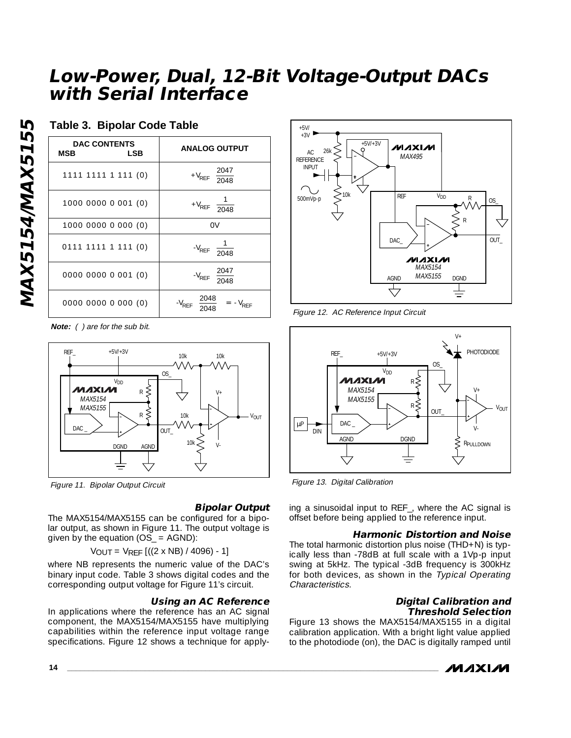### **Table 3. Bipolar Code Table**

| <b>DAC CONTENTS</b><br>MSB<br>LSB | <b>ANALOG OUTPUT</b>                                   |
|-----------------------------------|--------------------------------------------------------|
| 1111 1111 1 111 (0)               | + $V_{REF}$ $\left(\frac{2047}{2048}\right)$           |
| 1000 0000 0 001 (0)               | + $V_{REF}$ $\left(\frac{1}{2048}\right)$              |
| 1000 0000 0 000 (0)               | 0V                                                     |
| 0111 1111 1 111 (0)               | $-V_{REF}\left(\frac{1}{2048}\right)$                  |
| 0000 0000 0 001 (0)               | $-V_{REF}$ $\left(\frac{2047}{2048}\right)$            |
| 0000 0000 0 000 (0)               | $-V_{REF}$ $\left(\frac{2048}{2048}\right) = -V_{REF}$ |

**Note:** ( ) are for the sub bit.



Figure 11. Bipolar Output Circuit

### **Bipolar Output**

The MAX5154/MAX5155 can be configured for a bipolar output, as shown in Figure 11. The output voltage is given by the equation  $(OS = AGND)$ :

VOUT =  $VREF$   $((2 \times NB) / 4096) - 1]$ 

where NB represents the numeric value of the DAC's binary input code. Table 3 shows digital codes and the corresponding output voltage for Figure 11's circuit.

### **Using an AC Reference**

In applications where the reference has an AC signal component, the MAX5154/MAX5155 have multiplying capabilities within the reference input voltage range specifications. Figure 12 shows a technique for apply-



Figure 12. AC Reference Input Circuit



Figure 13. Digital Calibration

ing a sinusoidal input to REF\_, where the AC signal is offset before being applied to the reference input.

### **Harmonic Distortion and Noise**

The total harmonic distortion plus noise (THD+N) is typically less than -78dB at full scale with a 1Vp-p input swing at 5kHz. The typical -3dB frequency is 300kHz for both devices, as shown in the Typical Operating Characteristics.

#### **Digital Calibration and Threshold Selection**

Figure 13 shows the MAX5154/MAX5155 in a digital calibration application. With a bright light value applied to the photodiode (on), the DAC is digitally ramped until



MAX5154/MAX5155 **MAX5154/MAX5155**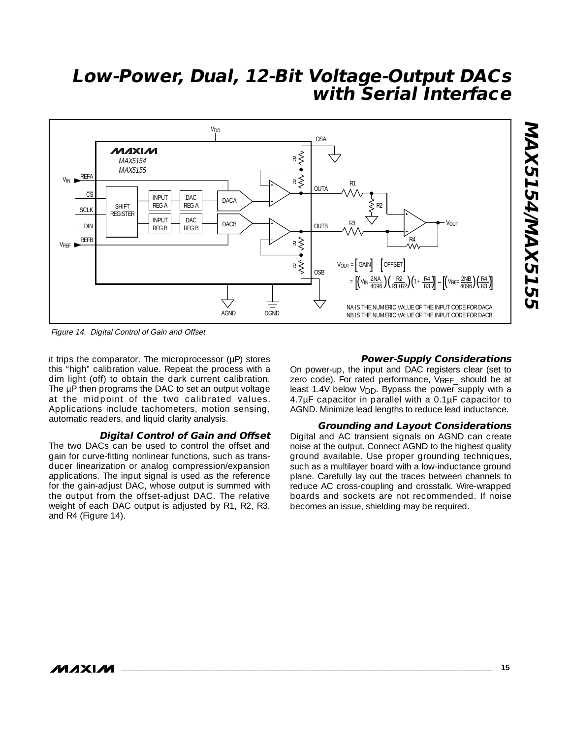

Figure 14. Digital Control of Gain and Offset

it trips the comparator. The microprocessor (µP) stores this "high" calibration value. Repeat the process with a dim light (off) to obtain the dark current calibration. The  $\mu$ P then programs the DAC to set an output voltage at the midpoint of the two calibrated values. Applications include tachometers, motion sensing, automatic readers, and liquid clarity analysis.

#### **Digital Control of Gain and Offset**

The two DACs can be used to control the offset and gain for curve-fitting nonlinear functions, such as transducer linearization or analog compression/expansion applications. The input signal is used as the reference for the gain-adjust DAC, whose output is summed with the output from the offset-adjust DAC. The relative weight of each DAC output is adjusted by R1, R2, R3, and R4 (Figure 14).

#### **Power-Supply Considerations**

On power-up, the input and DAC registers clear (set to zero code). For rated performance, VREF should be at least 1.4V below V<sub>DD</sub>. Bypass the power supply with a 4.7µF capacitor in parallel with a 0.1µF capacitor to AGND. Minimize lead lengths to reduce lead inductance.

#### **Grounding and Layout Considerations**

Digital and AC transient signals on AGND can create noise at the output. Connect AGND to the highest quality ground available. Use proper grounding techniques, such as a multilayer board with a low-inductance ground plane. Carefully lay out the traces between channels to reduce AC cross-coupling and crosstalk. Wire-wrapped boards and sockets are not recommended. If noise becomes an issue, shielding may be required.